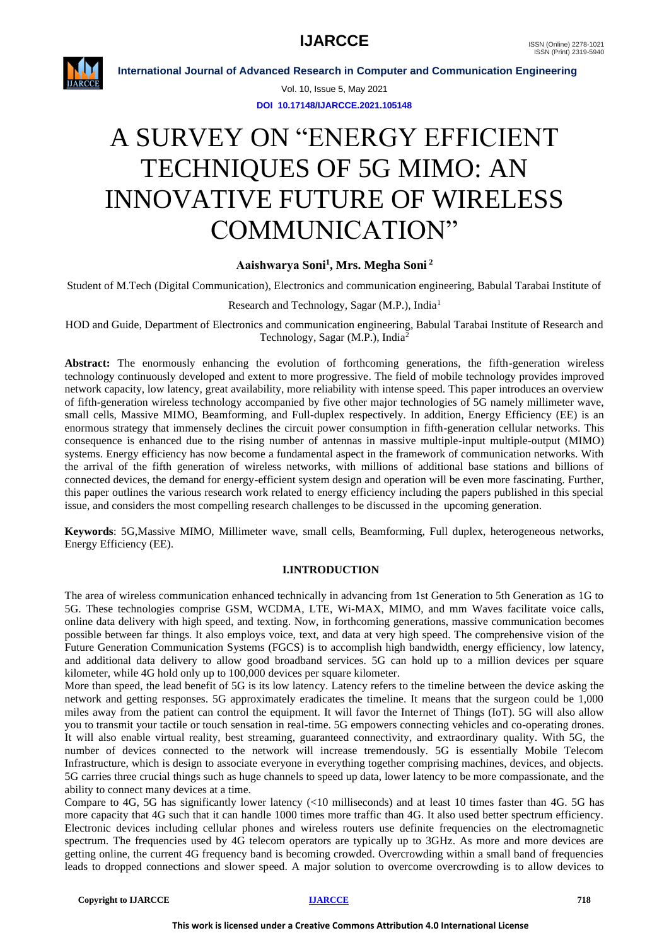

Vol. 10, Issue 5, May 2021

**DOI 10.17148/IJARCCE.2021.105148**

# A SURVEY ON "ENERGY EFFICIENT TECHNIQUES OF 5G MIMO: AN INNOVATIVE FUTURE OF WIRELESS COMMUNICATION"

### **Aaishwarya Soni<sup>1</sup> , Mrs. Megha Soni <sup>2</sup>**

Student of M.Tech (Digital Communication), Electronics and communication engineering, Babulal Tarabai Institute of

#### Research and Technology, Sagar (M.P.), India<sup>1</sup>

HOD and Guide, Department of Electronics and communication engineering, Babulal Tarabai Institute of Research and Technology, Sagar (M.P.), India<sup>2</sup>

Abstract: The enormously enhancing the evolution of forthcoming generations, the fifth-generation wireless technology continuously developed and extent to more progressive. The field of mobile technology provides improved network capacity, low latency, great availability, more reliability with intense speed. This paper introduces an overview of fifth-generation wireless technology accompanied by five other major technologies of 5G namely millimeter wave, small cells, Massive MIMO, Beamforming, and Full-duplex respectively. In addition, Energy Efficiency (EE) is an enormous strategy that immensely declines the circuit power consumption in fifth-generation cellular networks. This consequence is enhanced due to the rising number of antennas in massive multiple-input multiple-output (MIMO) systems. Energy efficiency has now become a fundamental aspect in the framework of communication networks. With the arrival of the fifth generation of wireless networks, with millions of additional base stations and billions of connected devices, the demand for energy-efficient system design and operation will be even more fascinating. Further, this paper outlines the various research work related to energy efficiency including the papers published in this special issue, and considers the most compelling research challenges to be discussed in the upcoming generation.

**Keywords**: 5G,Massive MIMO, Millimeter wave, small cells, Beamforming, Full duplex, heterogeneous networks, Energy Efficiency (EE).

### **I.INTRODUCTION**

The area of wireless communication enhanced technically in advancing from 1st Generation to 5th Generation as 1G to 5G. These technologies comprise GSM, WCDMA, LTE, Wi-MAX, MIMO, and mm Waves facilitate voice calls, online data delivery with high speed, and texting. Now, in forthcoming generations, massive communication becomes possible between far things. It also employs voice, text, and data at very high speed. The comprehensive vision of the Future Generation Communication Systems (FGCS) is to accomplish high bandwidth, energy efficiency, low latency, and additional data delivery to allow good broadband services. 5G can hold up to a million devices per square kilometer, while 4G hold only up to 100,000 devices per square kilometer.

More than speed, the lead benefit of 5G is its low latency. Latency refers to the timeline between the device asking the network and getting responses. 5G approximately eradicates the timeline. It means that the surgeon could be 1,000 miles away from the patient can control the equipment. It will favor the Internet of Things (IoT). 5G will also allow you to transmit your tactile or touch sensation in real-time. 5G empowers connecting vehicles and co-operating drones. It will also enable virtual reality, best streaming, guaranteed connectivity, and extraordinary quality. With 5G, the number of devices connected to the network will increase tremendously. 5G is essentially Mobile Telecom Infrastructure, which is design to associate everyone in everything together comprising machines, devices, and objects. 5G carries three crucial things such as huge channels to speed up data, lower latency to be more compassionate, and the ability to connect many devices at a time.

Compare to 4G, 5G has significantly lower latency (<10 milliseconds) and at least 10 times faster than 4G. 5G has more capacity that 4G such that it can handle 1000 times more traffic than 4G. It also used better spectrum efficiency. Electronic devices including cellular phones and wireless routers use definite frequencies on the electromagnetic spectrum. The frequencies used by 4G telecom operators are typically up to 3GHz. As more and more devices are getting online, the current 4G frequency band is becoming crowded. Overcrowding within a small band of frequencies leads to dropped connections and slower speed. A major solution to overcome overcrowding is to allow devices to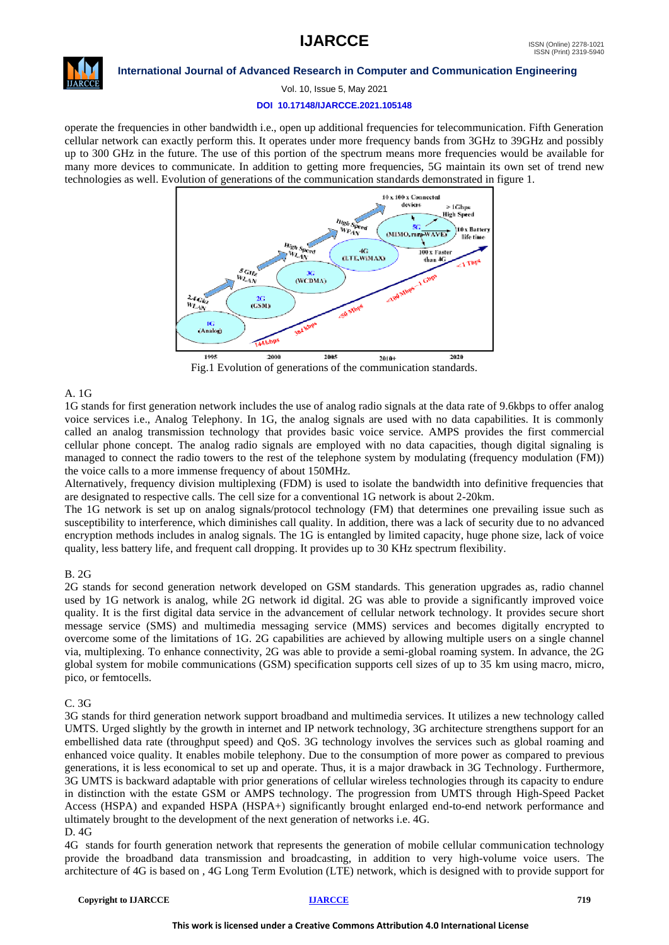

#### **International Journal of Advanced Research in Computer and Communication Engineering**

Vol. 10, Issue 5, May 2021

#### **DOI 10.17148/IJARCCE.2021.105148**

operate the frequencies in other bandwidth i.e., open up additional frequencies for telecommunication. Fifth Generation cellular network can exactly perform this. It operates under more frequency bands from 3GHz to 39GHz and possibly up to 300 GHz in the future. The use of this portion of the spectrum means more frequencies would be available for many more devices to communicate. In addition to getting more frequencies, 5G maintain its own set of trend new technologies as well. Evolution of generations of the communication standards demonstrated in figure 1.



Fig.1 Evolution of generations of the communication standards.

#### A. 1G

1G stands for first generation network includes the use of analog radio signals at the data rate of 9.6kbps to offer analog voice services i.e., Analog Telephony. In 1G, the analog signals are used with no data capabilities. It is commonly called an analog transmission technology that provides basic voice service. AMPS provides the first commercial cellular phone concept. The analog radio signals are employed with no data capacities, though digital signaling is managed to connect the radio towers to the rest of the telephone system by modulating (frequency modulation (FM)) the voice calls to a more immense frequency of about 150MHz.

Alternatively, frequency division multiplexing (FDM) is used to isolate the bandwidth into definitive frequencies that are designated to respective calls. The cell size for a conventional 1G network is about 2-20km.

The 1G network is set up on analog signals/protocol technology (FM) that determines one prevailing issue such as susceptibility to interference, which diminishes call quality. In addition, there was a lack of security due to no advanced encryption methods includes in analog signals. The 1G is entangled by limited capacity, huge phone size, lack of voice quality, less battery life, and frequent call dropping. It provides up to 30 KHz spectrum flexibility.

#### $R$  2G

2G stands for second generation network developed on GSM standards. This generation upgrades as, radio channel used by 1G network is analog, while 2G network id digital. 2G was able to provide a significantly improved voice quality. It is the first digital data service in the advancement of cellular network technology. It provides secure short message service (SMS) and multimedia messaging service (MMS) services and becomes digitally encrypted to overcome some of the limitations of 1G. 2G capabilities are achieved by allowing multiple users on a single channel via, multiplexing. To enhance connectivity, 2G was able to provide a semi-global roaming system. In advance, the 2G global system for mobile communications (GSM) specification supports cell sizes of up to 35 km using macro, micro, pico, or femtocells.

#### C. 3G

3G stands for third generation network support broadband and multimedia services. It utilizes a new technology called UMTS. Urged slightly by the growth in internet and IP network technology, 3G architecture strengthens support for an embellished data rate (throughput speed) and QoS. 3G technology involves the services such as global roaming and enhanced voice quality. It enables mobile telephony. Due to the consumption of more power as compared to previous generations, it is less economical to set up and operate. Thus, it is a major drawback in 3G Technology. Furthermore, 3G UMTS is backward adaptable with prior generations of cellular wireless technologies through its capacity to endure in distinction with the estate GSM or AMPS technology. The progression from UMTS through High-Speed Packet Access (HSPA) and expanded HSPA (HSPA+) significantly brought enlarged end-to-end network performance and ultimately brought to the development of the next generation of networks i.e. 4G. D. 4G

4G stands for fourth generation network that represents the generation of mobile cellular communication technology provide the broadband data transmission and broadcasting, in addition to very high-volume voice users. The architecture of 4G is based on , 4G Long Term Evolution (LTE) network, which is designed with to provide support for

#### **Copyright to IJARCCE [IJARCCE](https://ijarcce.com/) 719**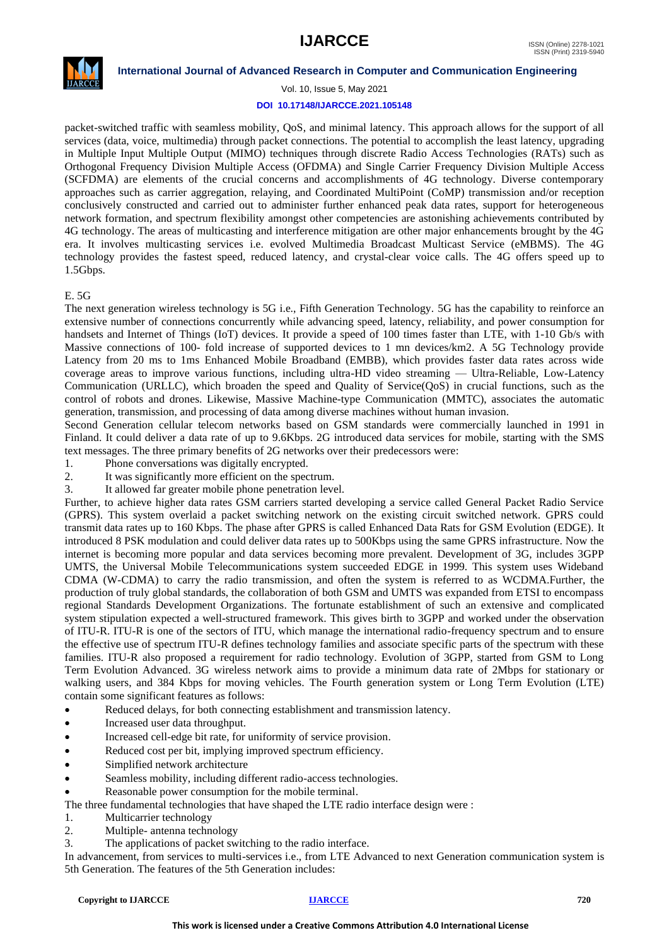

Vol. 10, Issue 5, May 2021

#### **DOI 10.17148/IJARCCE.2021.105148**

packet-switched traffic with seamless mobility, QoS, and minimal latency. This approach allows for the support of all services (data, voice, multimedia) through packet connections. The potential to accomplish the least latency, upgrading in Multiple Input Multiple Output (MIMO) techniques through discrete Radio Access Technologies (RATs) such as Orthogonal Frequency Division Multiple Access (OFDMA) and Single Carrier Frequency Division Multiple Access (SCFDMA) are elements of the crucial concerns and accomplishments of 4G technology. Diverse contemporary approaches such as carrier aggregation, relaying, and Coordinated MultiPoint (CoMP) transmission and/or reception conclusively constructed and carried out to administer further enhanced peak data rates, support for heterogeneous network formation, and spectrum flexibility amongst other competencies are astonishing achievements contributed by 4G technology. The areas of multicasting and interference mitigation are other major enhancements brought by the 4G era. It involves multicasting services i.e. evolved Multimedia Broadcast Multicast Service (eMBMS). The 4G technology provides the fastest speed, reduced latency, and crystal-clear voice calls. The 4G offers speed up to 1.5Gbps.

#### E. 5G

The next generation wireless technology is 5G i.e., Fifth Generation Technology. 5G has the capability to reinforce an extensive number of connections concurrently while advancing speed, latency, reliability, and power consumption for handsets and Internet of Things (IoT) devices. It provide a speed of 100 times faster than LTE, with 1-10 Gb/s with Massive connections of 100- fold increase of supported devices to 1 mn devices/km2. A 5G Technology provide Latency from 20 ms to 1ms Enhanced Mobile Broadband (EMBB), which provides faster data rates across wide coverage areas to improve various functions, including ultra-HD video streaming — Ultra-Reliable, Low-Latency Communication (URLLC), which broaden the speed and Quality of Service(QoS) in crucial functions, such as the control of robots and drones. Likewise, Massive Machine-type Communication (MMTC), associates the automatic generation, transmission, and processing of data among diverse machines without human invasion.

Second Generation cellular telecom networks based on GSM standards were commercially launched in 1991 in Finland. It could deliver a data rate of up to 9.6Kbps. 2G introduced data services for mobile, starting with the SMS text messages. The three primary benefits of 2G networks over their predecessors were:

1. Phone conversations was digitally encrypted.

2. It was significantly more efficient on the spectrum.

3. It allowed far greater mobile phone penetration level.

Further, to achieve higher data rates GSM carriers started developing a service called General Packet Radio Service (GPRS). This system overlaid a packet switching network on the existing circuit switched network. GPRS could transmit data rates up to 160 Kbps. The phase after GPRS is called Enhanced Data Rats for GSM Evolution (EDGE). It introduced 8 PSK modulation and could deliver data rates up to 500Kbps using the same GPRS infrastructure. Now the internet is becoming more popular and data services becoming more prevalent. Development of 3G, includes 3GPP UMTS, the Universal Mobile Telecommunications system succeeded EDGE in 1999. This system uses Wideband CDMA (W-CDMA) to carry the radio transmission, and often the system is referred to as WCDMA.Further, the production of truly global standards, the collaboration of both GSM and UMTS was expanded from ETSI to encompass regional Standards Development Organizations. The fortunate establishment of such an extensive and complicated system stipulation expected a well-structured framework. This gives birth to 3GPP and worked under the observation of ITU-R. ITU-R is one of the sectors of ITU, which manage the international radio-frequency spectrum and to ensure the effective use of spectrum ITU-R defines technology families and associate specific parts of the spectrum with these families. ITU-R also proposed a requirement for radio technology. Evolution of 3GPP, started from GSM to Long Term Evolution Advanced. 3G wireless network aims to provide a minimum data rate of 2Mbps for stationary or walking users, and 384 Kbps for moving vehicles. The Fourth generation system or Long Term Evolution (LTE) contain some significant features as follows:

Reduced delays, for both connecting establishment and transmission latency.

- Increased user data throughput.
- Increased cell-edge bit rate, for uniformity of service provision.
- Reduced cost per bit, implying improved spectrum efficiency.
- Simplified network architecture
- Seamless mobility, including different radio-access technologies.
- Reasonable power consumption for the mobile terminal.

The three fundamental technologies that have shaped the LTE radio interface design were :

- 1. Multicarrier technology
- 2. Multiple- antenna technology
- 3. The applications of packet switching to the radio interface.

In advancement, from services to multi-services i.e., from LTE Advanced to next Generation communication system is 5th Generation. The features of the 5th Generation includes: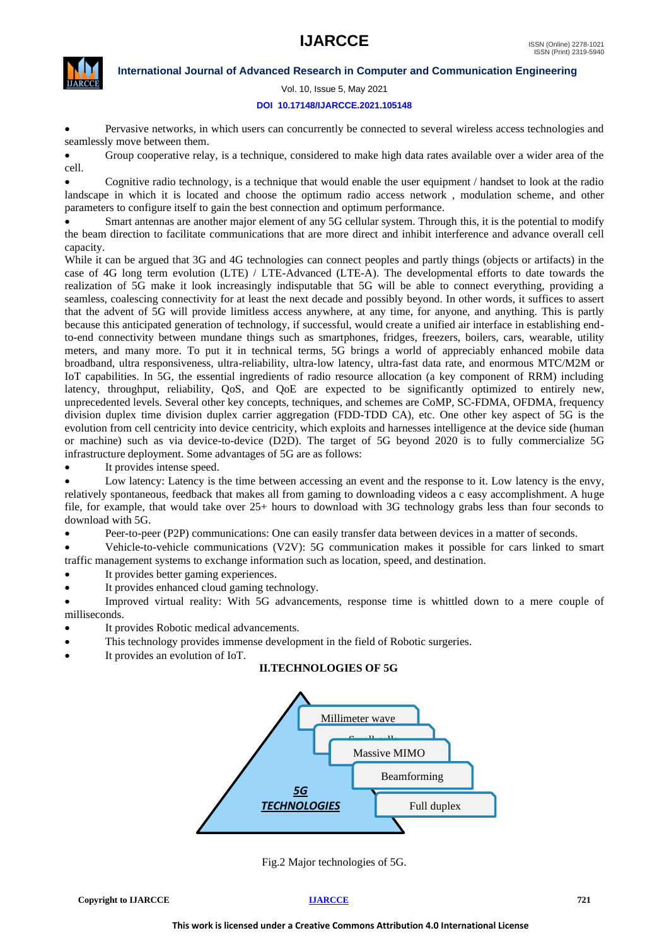

Vol. 10, Issue 5, May 2021

#### **DOI 10.17148/IJARCCE.2021.105148**

• Pervasive networks, in which users can concurrently be connected to several wireless access technologies and seamlessly move between them.

• Group cooperative relay, is a technique, considered to make high data rates available over a wider area of the cell.

• Cognitive radio technology, is a technique that would enable the user equipment / handset to look at the radio landscape in which it is located and choose the optimum radio access network , modulation scheme, and other parameters to configure itself to gain the best connection and optimum performance.

• Smart antennas are another major element of any 5G cellular system. Through this, it is the potential to modify the beam direction to facilitate communications that are more direct and inhibit interference and advance overall cell capacity.

While it can be argued that 3G and 4G technologies can connect peoples and partly things (objects or artifacts) in the case of 4G long term evolution (LTE) / LTE-Advanced (LTE-A). The developmental efforts to date towards the realization of 5G make it look increasingly indisputable that 5G will be able to connect everything, providing a seamless, coalescing connectivity for at least the next decade and possibly beyond. In other words, it suffices to assert that the advent of 5G will provide limitless access anywhere, at any time, for anyone, and anything. This is partly because this anticipated generation of technology, if successful, would create a unified air interface in establishing endto-end connectivity between mundane things such as smartphones, fridges, freezers, boilers, cars, wearable, utility meters, and many more. To put it in technical terms, 5G brings a world of appreciably enhanced mobile data broadband, ultra responsiveness, ultra-reliability, ultra-low latency, ultra-fast data rate, and enormous MTC/M2M or IoT capabilities. In 5G, the essential ingredients of radio resource allocation (a key component of RRM) including latency, throughput, reliability, QoS, and QoE are expected to be significantly optimized to entirely new, unprecedented levels. Several other key concepts, techniques, and schemes are CoMP, SC-FDMA, OFDMA, frequency division duplex time division duplex carrier aggregation (FDD-TDD CA), etc. One other key aspect of 5G is the evolution from cell centricity into device centricity, which exploits and harnesses intelligence at the device side (human or machine) such as via device-to-device (D2D). The target of 5G beyond 2020 is to fully commercialize 5G infrastructure deployment. Some advantages of 5G are as follows:

It provides intense speed.

• Low latency: Latency is the time between accessing an event and the response to it. Low latency is the envy, relatively spontaneous, feedback that makes all from gaming to downloading videos a c easy accomplishment. A huge file, for example, that would take over 25+ hours to download with 3G technology grabs less than four seconds to download with 5G.

• Peer-to-peer (P2P) communications: One can easily transfer data between devices in a matter of seconds.

• Vehicle-to-vehicle communications (V2V): 5G communication makes it possible for cars linked to smart traffic management systems to exchange information such as location, speed, and destination.

- It provides better gaming experiences.
- It provides enhanced cloud gaming technology.

• Improved virtual reality: With 5G advancements, response time is whittled down to a mere couple of milliseconds.

- It provides Robotic medical advancements.
- This technology provides immense development in the field of Robotic surgeries.
- It provides an evolution of IoT.

#### **II.TECHNOLOGIES OF 5G**



Fig.2 Major technologies of 5G.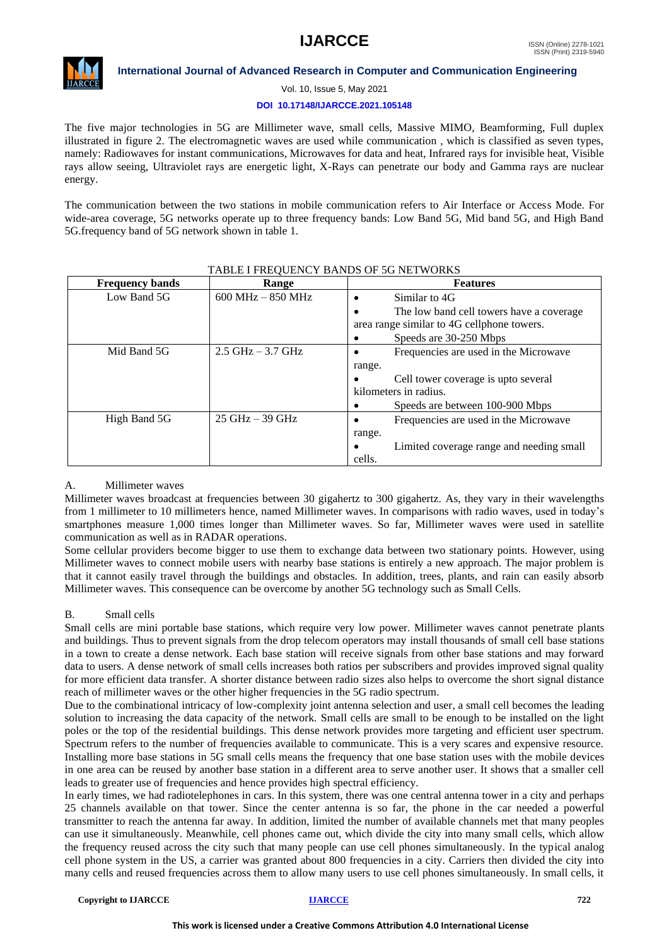

#### **International Journal of Advanced Research in Computer and Communication Engineering**

Vol. 10, Issue 5, May 2021

#### **DOI 10.17148/IJARCCE.2021.105148**

The five major technologies in 5G are Millimeter wave, small cells, Massive MIMO, Beamforming, Full duplex illustrated in figure 2. The electromagnetic waves are used while communication , which is classified as seven types, namely: Radiowaves for instant communications, Microwaves for data and heat, Infrared rays for invisible heat, Visible rays allow seeing, Ultraviolet rays are energetic light, X-Rays can penetrate our body and Gamma rays are nuclear energy.

The communication between the two stations in mobile communication refers to Air Interface or Access Mode. For wide-area coverage, 5G networks operate up to three frequency bands: Low Band 5G, Mid band 5G, and High Band 5G.frequency band of 5G network shown in table 1.

| <b>Frequency bands</b> | Range                             | <b>Features</b>                                       |  |
|------------------------|-----------------------------------|-------------------------------------------------------|--|
| Low Band 5G            | $600$ MHz $-$ 850 MHz             | Similar to 4G<br>$\bullet$                            |  |
|                        |                                   | The low band cell towers have a coverage<br>$\bullet$ |  |
|                        |                                   | area range similar to 4G cellphone towers.            |  |
|                        |                                   | Speeds are 30-250 Mbps<br>٠                           |  |
| Mid Band 5G            | $2.5$ GHz $-3.7$ GHz              | Frequencies are used in the Microwave                 |  |
|                        |                                   | range.                                                |  |
|                        |                                   | Cell tower coverage is upto several<br>$\bullet$      |  |
|                        |                                   | kilometers in radius.                                 |  |
|                        |                                   | Speeds are between 100-900 Mbps                       |  |
| High Band 5G           | $25 \text{ GHz} - 39 \text{ GHz}$ | Frequencies are used in the Microwave                 |  |
|                        |                                   | range.                                                |  |
|                        |                                   | Limited coverage range and needing small<br>$\bullet$ |  |
|                        |                                   | cells.                                                |  |

#### TABLE I FREQUENCY BANDS OF 5G NETWORKS

#### A. Millimeter waves

Millimeter waves broadcast at frequencies between 30 gigahertz to 300 gigahertz. As, they vary in their wavelengths from 1 millimeter to 10 millimeters hence, named Millimeter waves. In comparisons with radio waves, used in today's smartphones measure 1,000 times longer than Millimeter waves. So far, Millimeter waves were used in satellite communication as well as in RADAR operations.

Some cellular providers become bigger to use them to exchange data between two stationary points. However, using Millimeter waves to connect mobile users with nearby base stations is entirely a new approach. The major problem is that it cannot easily travel through the buildings and obstacles. In addition, trees, plants, and rain can easily absorb Millimeter waves. This consequence can be overcome by another 5G technology such as Small Cells.

### B. Small cells

Small cells are mini portable base stations, which require very low power. Millimeter waves cannot penetrate plants and buildings. Thus to prevent signals from the drop telecom operators may install thousands of small cell base stations in a town to create a dense network. Each base station will receive signals from other base stations and may forward data to users. A dense network of small cells increases both ratios per subscribers and provides improved signal quality for more efficient data transfer. A shorter distance between radio sizes also helps to overcome the short signal distance reach of millimeter waves or the other higher frequencies in the 5G radio spectrum.

Due to the combinational intricacy of low-complexity joint antenna selection and user, a small cell becomes the leading solution to increasing the data capacity of the network. Small cells are small to be enough to be installed on the light poles or the top of the residential buildings. This dense network provides more targeting and efficient user spectrum. Spectrum refers to the number of frequencies available to communicate. This is a very scares and expensive resource. Installing more base stations in 5G small cells means the frequency that one base station uses with the mobile devices in one area can be reused by another base station in a different area to serve another user. It shows that a smaller cell leads to greater use of frequencies and hence provides high spectral efficiency.

In early times, we had radiotelephones in cars. In this system, there was one central antenna tower in a city and perhaps 25 channels available on that tower. Since the center antenna is so far, the phone in the car needed a powerful transmitter to reach the antenna far away. In addition, limited the number of available channels met that many peoples can use it simultaneously. Meanwhile, cell phones came out, which divide the city into many small cells, which allow the frequency reused across the city such that many people can use cell phones simultaneously. In the typical analog cell phone system in the US, a carrier was granted about 800 frequencies in a city. Carriers then divided the city into many cells and reused frequencies across them to allow many users to use cell phones simultaneously. In small cells, it

**Copyright to IJARCCE [IJARCCE](https://ijarcce.com/) 722**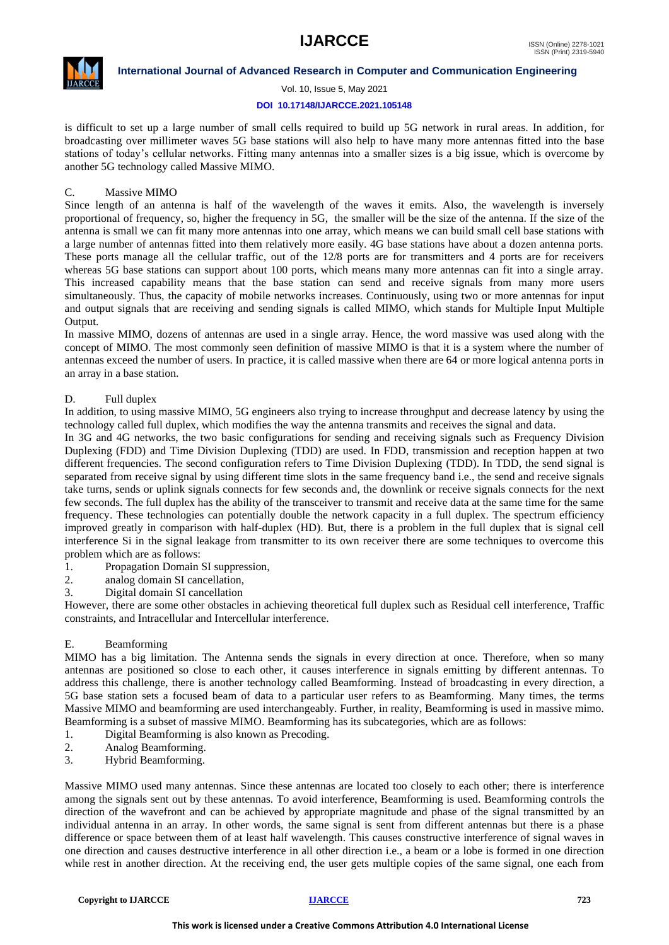

Vol. 10, Issue 5, May 2021

#### **DOI 10.17148/IJARCCE.2021.105148**

is difficult to set up a large number of small cells required to build up 5G network in rural areas. In addition, for broadcasting over millimeter waves 5G base stations will also help to have many more antennas fitted into the base stations of today's cellular networks. Fitting many antennas into a smaller sizes is a big issue, which is overcome by another 5G technology called Massive MIMO.

### C. Massive MIMO

Since length of an antenna is half of the wavelength of the waves it emits. Also, the wavelength is inversely proportional of frequency, so, higher the frequency in 5G, the smaller will be the size of the antenna. If the size of the antenna is small we can fit many more antennas into one array, which means we can build small cell base stations with a large number of antennas fitted into them relatively more easily. 4G base stations have about a dozen antenna ports. These ports manage all the cellular traffic, out of the 12/8 ports are for transmitters and 4 ports are for receivers whereas 5G base stations can support about 100 ports, which means many more antennas can fit into a single array. This increased capability means that the base station can send and receive signals from many more users simultaneously. Thus, the capacity of mobile networks increases. Continuously, using two or more antennas for input and output signals that are receiving and sending signals is called MIMO, which stands for Multiple Input Multiple Output.

In massive MIMO, dozens of antennas are used in a single array. Hence, the word massive was used along with the concept of MIMO. The most commonly seen definition of massive MIMO is that it is a system where the number of antennas exceed the number of users. In practice, it is called massive when there are 64 or more logical antenna ports in an array in a base station.

### D. Full duplex

In addition, to using massive MIMO, 5G engineers also trying to increase throughput and decrease latency by using the technology called full duplex, which modifies the way the antenna transmits and receives the signal and data.

In 3G and 4G networks, the two basic configurations for sending and receiving signals such as Frequency Division Duplexing (FDD) and Time Division Duplexing (TDD) are used. In FDD, transmission and reception happen at two different frequencies. The second configuration refers to Time Division Duplexing (TDD). In TDD, the send signal is separated from receive signal by using different time slots in the same frequency band i.e., the send and receive signals take turns, sends or uplink signals connects for few seconds and, the downlink or receive signals connects for the next few seconds. The full duplex has the ability of the transceiver to transmit and receive data at the same time for the same frequency. These technologies can potentially double the network capacity in a full duplex. The spectrum efficiency improved greatly in comparison with half-duplex (HD). But, there is a problem in the full duplex that is signal cell interference Si in the signal leakage from transmitter to its own receiver there are some techniques to overcome this problem which are as follows:

- 1. Propagation Domain SI suppression,
- 2. analog domain SI cancellation,
- 3. Digital domain SI cancellation

However, there are some other obstacles in achieving theoretical full duplex such as Residual cell interference, Traffic constraints, and Intracellular and Intercellular interference.

#### E. Beamforming

MIMO has a big limitation. The Antenna sends the signals in every direction at once. Therefore, when so many antennas are positioned so close to each other, it causes interference in signals emitting by different antennas. To address this challenge, there is another technology called Beamforming. Instead of broadcasting in every direction, a 5G base station sets a focused beam of data to a particular user refers to as Beamforming. Many times, the terms Massive MIMO and beamforming are used interchangeably. Further, in reality, Beamforming is used in massive mimo. Beamforming is a subset of massive MIMO. Beamforming has its subcategories, which are as follows:

- 1. Digital Beamforming is also known as Precoding.
- 2. Analog Beamforming.
- 3. Hybrid Beamforming.

Massive MIMO used many antennas. Since these antennas are located too closely to each other; there is interference among the signals sent out by these antennas. To avoid interference, Beamforming is used. Beamforming controls the direction of the wavefront and can be achieved by appropriate magnitude and phase of the signal transmitted by an individual antenna in an array. In other words, the same signal is sent from different antennas but there is a phase difference or space between them of at least half wavelength. This causes constructive interference of signal waves in one direction and causes destructive interference in all other direction i.e., a beam or a lobe is formed in one direction while rest in another direction. At the receiving end, the user gets multiple copies of the same signal, one each from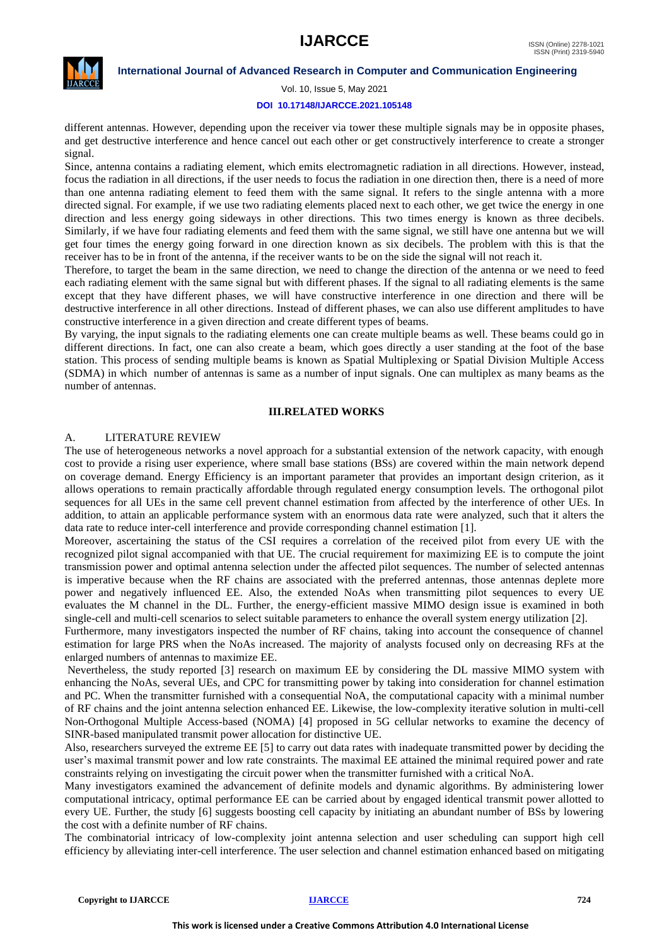

Vol. 10, Issue 5, May 2021

#### **DOI 10.17148/IJARCCE.2021.105148**

different antennas. However, depending upon the receiver via tower these multiple signals may be in opposite phases, and get destructive interference and hence cancel out each other or get constructively interference to create a stronger signal.

Since, antenna contains a radiating element, which emits electromagnetic radiation in all directions. However, instead, focus the radiation in all directions, if the user needs to focus the radiation in one direction then, there is a need of more than one antenna radiating element to feed them with the same signal. It refers to the single antenna with a more directed signal. For example, if we use two radiating elements placed next to each other, we get twice the energy in one direction and less energy going sideways in other directions. This two times energy is known as three decibels. Similarly, if we have four radiating elements and feed them with the same signal, we still have one antenna but we will get four times the energy going forward in one direction known as six decibels. The problem with this is that the receiver has to be in front of the antenna, if the receiver wants to be on the side the signal will not reach it.

Therefore, to target the beam in the same direction, we need to change the direction of the antenna or we need to feed each radiating element with the same signal but with different phases. If the signal to all radiating elements is the same except that they have different phases, we will have constructive interference in one direction and there will be destructive interference in all other directions. Instead of different phases, we can also use different amplitudes to have constructive interference in a given direction and create different types of beams.

By varying, the input signals to the radiating elements one can create multiple beams as well. These beams could go in different directions. In fact, one can also create a beam, which goes directly a user standing at the foot of the base station. This process of sending multiple beams is known as Spatial Multiplexing or Spatial Division Multiple Access (SDMA) in which number of antennas is same as a number of input signals. One can multiplex as many beams as the number of antennas.

#### **III.RELATED WORKS**

#### A. LITERATURE REVIEW

The use of heterogeneous networks a novel approach for a substantial extension of the network capacity, with enough cost to provide a rising user experience, where small base stations (BSs) are covered within the main network depend on coverage demand. Energy Efficiency is an important parameter that provides an important design criterion, as it allows operations to remain practically affordable through regulated energy consumption levels. The orthogonal pilot sequences for all UEs in the same cell prevent channel estimation from affected by the interference of other UEs. In addition, to attain an applicable performance system with an enormous data rate were analyzed, such that it alters the data rate to reduce inter-cell interference and provide corresponding channel estimation [1].

Moreover, ascertaining the status of the CSI requires a correlation of the received pilot from every UE with the recognized pilot signal accompanied with that UE. The crucial requirement for maximizing EE is to compute the joint transmission power and optimal antenna selection under the affected pilot sequences. The number of selected antennas is imperative because when the RF chains are associated with the preferred antennas, those antennas deplete more power and negatively influenced EE. Also, the extended NoAs when transmitting pilot sequences to every UE evaluates the M channel in the DL. Further, the energy-efficient massive MIMO design issue is examined in both single-cell and multi-cell scenarios to select suitable parameters to enhance the overall system energy utilization [2].

Furthermore, many investigators inspected the number of RF chains, taking into account the consequence of channel estimation for large PRS when the NoAs increased. The majority of analysts focused only on decreasing RFs at the enlarged numbers of antennas to maximize EE.

Nevertheless, the study reported [3] research on maximum EE by considering the DL massive MIMO system with enhancing the NoAs, several UEs, and CPC for transmitting power by taking into consideration for channel estimation and PC. When the transmitter furnished with a consequential NoA, the computational capacity with a minimal number of RF chains and the joint antenna selection enhanced EE. Likewise, the low-complexity iterative solution in multi-cell Non-Orthogonal Multiple Access-based (NOMA) [4] proposed in 5G cellular networks to examine the decency of SINR-based manipulated transmit power allocation for distinctive UE.

Also, researchers surveyed the extreme EE [5] to carry out data rates with inadequate transmitted power by deciding the user's maximal transmit power and low rate constraints. The maximal EE attained the minimal required power and rate constraints relying on investigating the circuit power when the transmitter furnished with a critical NoA.

Many investigators examined the advancement of definite models and dynamic algorithms. By administering lower computational intricacy, optimal performance EE can be carried about by engaged identical transmit power allotted to every UE. Further, the study [6] suggests boosting cell capacity by initiating an abundant number of BSs by lowering the cost with a definite number of RF chains.

The combinatorial intricacy of low-complexity joint antenna selection and user scheduling can support high cell efficiency by alleviating inter-cell interference. The user selection and channel estimation enhanced based on mitigating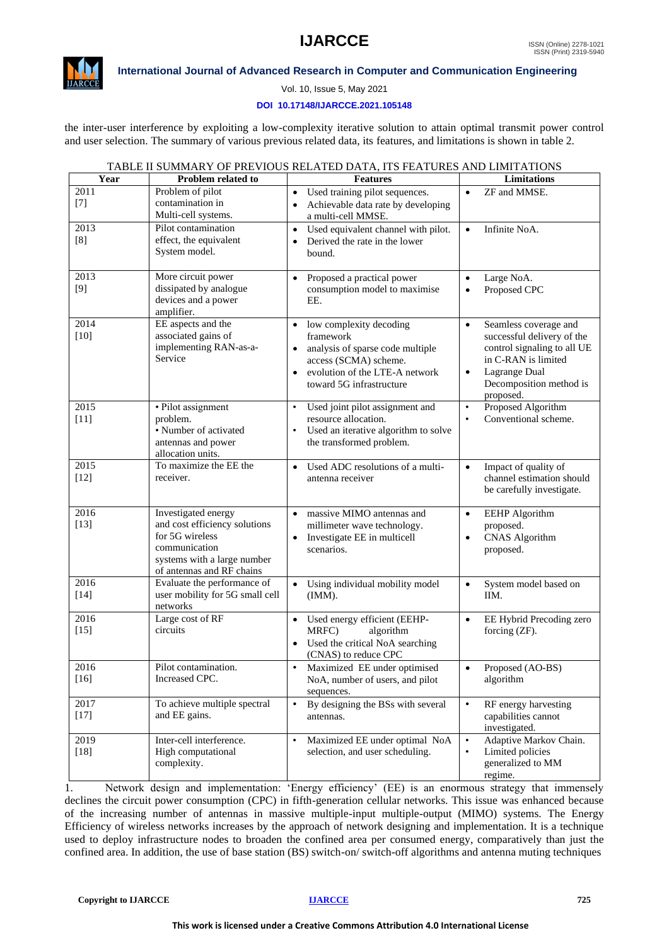

## **International Journal of Advanced Research in Computer and Communication Engineering**

Vol. 10, Issue 5, May 2021

#### **DOI 10.17148/IJARCCE.2021.105148**

the inter-user interference by exploiting a low-complexity iterative solution to attain optimal transmit power control and user selection. The summary of various previous related data, its features, and limitations is shown in table 2.

| Year           | <b>Problem related to</b>                 | <b>Features</b>                                              | Limitations                                                      |
|----------------|-------------------------------------------|--------------------------------------------------------------|------------------------------------------------------------------|
| 2011           | Problem of pilot                          | • Used training pilot sequences.                             | ZF and MMSE.<br>$\bullet$                                        |
| $[7]$          | contamination in                          | Achievable data rate by developing                           |                                                                  |
|                | Multi-cell systems.                       | a multi-cell MMSE.                                           |                                                                  |
| 2013           | Pilot contamination                       | • Used equivalent channel with pilot.                        | Infinite NoA.<br>$\bullet$                                       |
| [8]            | effect, the equivalent<br>System model.   | Derived the rate in the lower                                |                                                                  |
|                |                                           | bound.                                                       |                                                                  |
| 2013           | More circuit power                        | Proposed a practical power                                   | Large NoA.<br>$\bullet$                                          |
| [9]            | dissipated by analogue                    | consumption model to maximise                                | Proposed CPC<br>$\bullet$                                        |
|                | devices and a power                       | EE.                                                          |                                                                  |
|                | amplifier.                                |                                                              |                                                                  |
| 2014<br>$[10]$ | EE aspects and the<br>associated gains of | • low complexity decoding<br>framework                       | Seamless coverage and<br>$\bullet$<br>successful delivery of the |
|                | implementing RAN-as-a-                    | analysis of sparse code multiple<br>$\bullet$                | control signaling to all UE                                      |
|                | Service                                   | access (SCMA) scheme.                                        | in C-RAN is limited                                              |
|                |                                           | evolution of the LTE-A network                               | Lagrange Dual<br>$\bullet$                                       |
|                |                                           | toward 5G infrastructure                                     | Decomposition method is                                          |
|                |                                           |                                                              | proposed.                                                        |
| 2015<br>$[11]$ | · Pilot assignment<br>problem.            | Used joint pilot assignment and<br>resource allocation.      | Proposed Algorithm<br>$\bullet$<br>Conventional scheme.          |
|                | • Number of activated                     | Used an iterative algorithm to solve<br>$\bullet$            |                                                                  |
|                | antennas and power                        | the transformed problem.                                     |                                                                  |
|                | allocation units.                         |                                                              |                                                                  |
| 2015           | To maximize the EE the                    | Used ADC resolutions of a multi-<br>$\bullet$                | Impact of quality of<br>$\bullet$                                |
| $[12]$         | receiver.                                 | antenna receiver                                             | channel estimation should<br>be carefully investigate.           |
|                |                                           |                                                              |                                                                  |
| 2016           | Investigated energy                       | massive MIMO antennas and                                    | <b>EEHP</b> Algorithm<br>$\bullet$                               |
| $[13]$         | and cost efficiency solutions             | millimeter wave technology.                                  | proposed.                                                        |
|                | for 5G wireless<br>communication          | Investigate EE in multicell<br>$\bullet$                     | <b>CNAS</b> Algorithm<br>$\bullet$                               |
|                | systems with a large number               | scenarios.                                                   | proposed.                                                        |
|                | of antennas and RF chains                 |                                                              |                                                                  |
| 2016           | Evaluate the performance of               | Using individual mobility model<br>$\bullet$                 | System model based on<br>$\bullet$                               |
| $[14]$         | user mobility for 5G small cell           | (IMM).                                                       | IIM.                                                             |
| 2016           | networks<br>Large cost of RF              | • Used energy efficient (EEHP-                               | EE Hybrid Precoding zero<br>$\bullet$                            |
| $[15]$         | circuits                                  | MRFC)<br>algorithm                                           | forcing (ZF).                                                    |
|                |                                           | • Used the critical NoA searching                            |                                                                  |
|                |                                           | (CNAS) to reduce CPC                                         |                                                                  |
| 2016           | Pilot contamination.                      | Maximized EE under optimised<br>$\bullet$                    | Proposed (AO-BS)<br>$\bullet$                                    |
| $[16]$         | Increased CPC.                            | NoA, number of users, and pilot                              | algorithm                                                        |
| 2017           | To achieve multiple spectral              | sequences.<br>By designing the BSs with several<br>$\bullet$ | $\bullet$<br>RF energy harvesting                                |
| $[17]$         | and EE gains.                             | antennas.                                                    | capabilities cannot                                              |
|                |                                           |                                                              | investigated.                                                    |
| 2019           | Inter-cell interference.                  | Maximized EE under optimal NoA<br>$\bullet$                  | Adaptive Markov Chain.<br>$\bullet$                              |
| $[18]$         | High computational                        | selection, and user scheduling.                              | Limited policies<br>$\bullet$                                    |
|                | complexity.                               |                                                              | generalized to MM<br>regime.                                     |
|                |                                           |                                                              |                                                                  |

TABLE II SUMMARY OF PREVIOUS RELATED DATA, ITS FEATURES AND LIMITATIONS

1. Network design and implementation: 'Energy efficiency' (EE) is an enormous strategy that immensely declines the circuit power consumption (CPC) in fifth-generation cellular networks. This issue was enhanced because of the increasing number of antennas in massive multiple-input multiple-output (MIMO) systems. The Energy Efficiency of wireless networks increases by the approach of network designing and implementation. It is a technique used to deploy infrastructure nodes to broaden the confined area per consumed energy, comparatively than just the confined area. In addition, the use of base station (BS) switch-on/ switch-off algorithms and antenna muting techniques

**Copyright to IJARCCE [IJARCCE](https://ijarcce.com/) 725**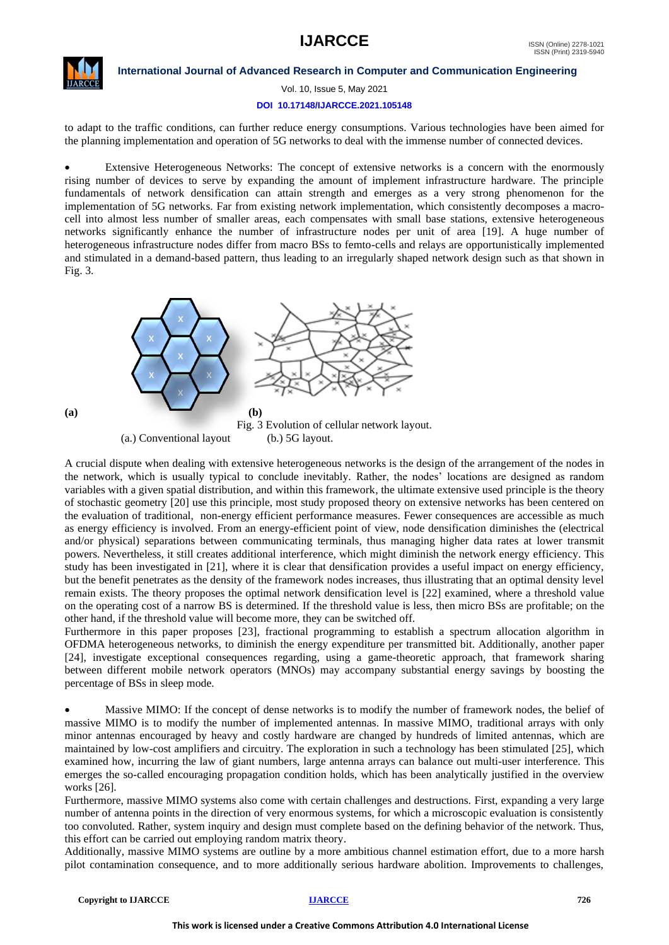

Vol. 10, Issue 5, May 2021

#### **DOI 10.17148/IJARCCE.2021.105148**

to adapt to the traffic conditions, can further reduce energy consumptions. Various technologies have been aimed for the planning implementation and operation of 5G networks to deal with the immense number of connected devices.

• Extensive Heterogeneous Networks: The concept of extensive networks is a concern with the enormously rising number of devices to serve by expanding the amount of implement infrastructure hardware. The principle fundamentals of network densification can attain strength and emerges as a very strong phenomenon for the implementation of 5G networks. Far from existing network implementation, which consistently decomposes a macrocell into almost less number of smaller areas, each compensates with small base stations, extensive heterogeneous networks significantly enhance the number of infrastructure nodes per unit of area [19]. A huge number of heterogeneous infrastructure nodes differ from macro BSs to femto-cells and relays are opportunistically implemented and stimulated in a demand-based pattern, thus leading to an irregularly shaped network design such as that shown in Fig. 3.



A crucial dispute when dealing with extensive heterogeneous networks is the design of the arrangement of the nodes in the network, which is usually typical to conclude inevitably. Rather, the nodes' locations are designed as random variables with a given spatial distribution, and within this framework, the ultimate extensive used principle is the theory of stochastic geometry [20] use this principle, most study proposed theory on extensive networks has been centered on the evaluation of traditional, non-energy efficient performance measures. Fewer consequences are accessible as much as energy efficiency is involved. From an energy-efficient point of view, node densification diminishes the (electrical and/or physical) separations between communicating terminals, thus managing higher data rates at lower transmit powers. Nevertheless, it still creates additional interference, which might diminish the network energy efficiency. This study has been investigated in [21], where it is clear that densification provides a useful impact on energy efficiency, but the benefit penetrates as the density of the framework nodes increases, thus illustrating that an optimal density level remain exists. The theory proposes the optimal network densification level is [22] examined, where a threshold value on the operating cost of a narrow BS is determined. If the threshold value is less, then micro BSs are profitable; on the other hand, if the threshold value will become more, they can be switched off.

Furthermore in this paper proposes [23], fractional programming to establish a spectrum allocation algorithm in OFDMA heterogeneous networks, to diminish the energy expenditure per transmitted bit. Additionally, another paper [24], investigate exceptional consequences regarding, using a game-theoretic approach, that framework sharing between different mobile network operators (MNOs) may accompany substantial energy savings by boosting the percentage of BSs in sleep mode.

Massive MIMO: If the concept of dense networks is to modify the number of framework nodes, the belief of massive MIMO is to modify the number of implemented antennas. In massive MIMO, traditional arrays with only minor antennas encouraged by heavy and costly hardware are changed by hundreds of limited antennas, which are maintained by low-cost amplifiers and circuitry. The exploration in such a technology has been stimulated [25], which examined how, incurring the law of giant numbers, large antenna arrays can balance out multi-user interference. This emerges the so-called encouraging propagation condition holds, which has been analytically justified in the overview works [26].

Furthermore, massive MIMO systems also come with certain challenges and destructions. First, expanding a very large number of antenna points in the direction of very enormous systems, for which a microscopic evaluation is consistently too convoluted. Rather, system inquiry and design must complete based on the defining behavior of the network. Thus, this effort can be carried out employing random matrix theory.

Additionally, massive MIMO systems are outline by a more ambitious channel estimation effort, due to a more harsh pilot contamination consequence, and to more additionally serious hardware abolition. Improvements to challenges,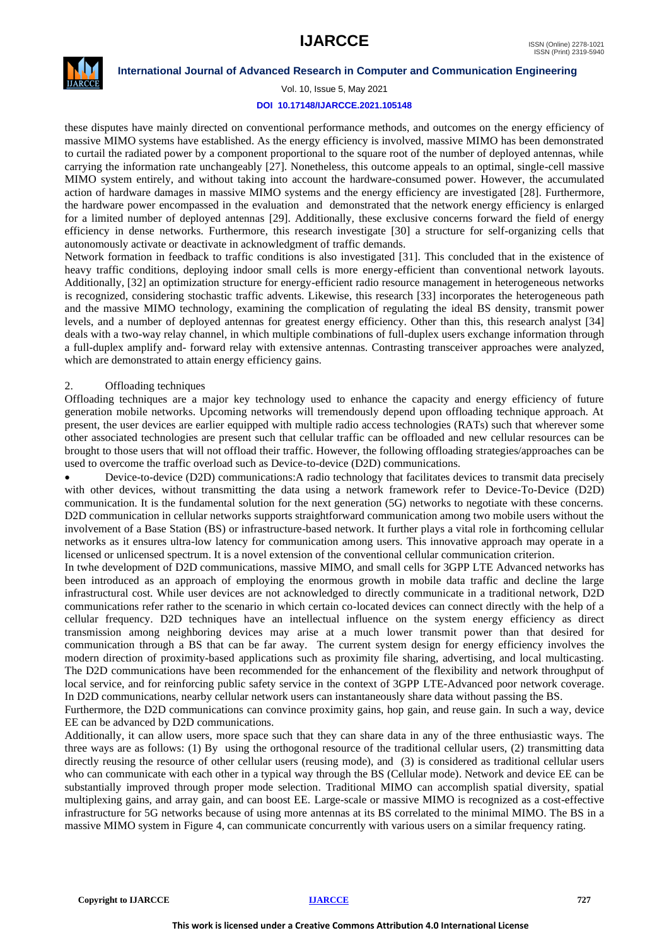

#### **International Journal of Advanced Research in Computer and Communication Engineering**

Vol. 10, Issue 5, May 2021

#### **DOI 10.17148/IJARCCE.2021.105148**

these disputes have mainly directed on conventional performance methods, and outcomes on the energy efficiency of massive MIMO systems have established. As the energy efficiency is involved, massive MIMO has been demonstrated to curtail the radiated power by a component proportional to the square root of the number of deployed antennas, while carrying the information rate unchangeably [27]. Nonetheless, this outcome appeals to an optimal, single-cell massive MIMO system entirely, and without taking into account the hardware-consumed power. However, the accumulated action of hardware damages in massive MIMO systems and the energy efficiency are investigated [28]. Furthermore, the hardware power encompassed in the evaluation and demonstrated that the network energy efficiency is enlarged for a limited number of deployed antennas [29]. Additionally, these exclusive concerns forward the field of energy efficiency in dense networks. Furthermore, this research investigate [30] a structure for self-organizing cells that autonomously activate or deactivate in acknowledgment of traffic demands.

Network formation in feedback to traffic conditions is also investigated [31]. This concluded that in the existence of heavy traffic conditions, deploying indoor small cells is more energy-efficient than conventional network layouts. Additionally, [32] an optimization structure for energy-efficient radio resource management in heterogeneous networks is recognized, considering stochastic traffic advents. Likewise, this research [33] incorporates the heterogeneous path and the massive MIMO technology, examining the complication of regulating the ideal BS density, transmit power levels, and a number of deployed antennas for greatest energy efficiency. Other than this, this research analyst [34] deals with a two-way relay channel, in which multiple combinations of full-duplex users exchange information through a full-duplex amplify and- forward relay with extensive antennas. Contrasting transceiver approaches were analyzed, which are demonstrated to attain energy efficiency gains.

#### 2. Offloading techniques

Offloading techniques are a major key technology used to enhance the capacity and energy efficiency of future generation mobile networks. Upcoming networks will tremendously depend upon offloading technique approach. At present, the user devices are earlier equipped with multiple radio access technologies (RATs) such that wherever some other associated technologies are present such that cellular traffic can be offloaded and new cellular resources can be brought to those users that will not offload their traffic. However, the following offloading strategies/approaches can be used to overcome the traffic overload such as Device-to-device (D2D) communications.

• Device-to-device (D2D) communications:A radio technology that facilitates devices to transmit data precisely with other devices, without transmitting the data using a network framework refer to Device-To-Device (D2D) communication. It is the fundamental solution for the next generation (5G) networks to negotiate with these concerns. D2D communication in cellular networks supports straightforward communication among two mobile users without the involvement of a Base Station (BS) or infrastructure-based network. It further plays a vital role in forthcoming cellular networks as it ensures ultra-low latency for communication among users. This innovative approach may operate in a licensed or unlicensed spectrum. It is a novel extension of the conventional cellular communication criterion.

In twhe development of D2D communications, massive MIMO, and small cells for 3GPP LTE Advanced networks has been introduced as an approach of employing the enormous growth in mobile data traffic and decline the large infrastructural cost. While user devices are not acknowledged to directly communicate in a traditional network, D2D communications refer rather to the scenario in which certain co-located devices can connect directly with the help of a cellular frequency. D2D techniques have an intellectual influence on the system energy efficiency as direct transmission among neighboring devices may arise at a much lower transmit power than that desired for communication through a BS that can be far away. The current system design for energy efficiency involves the modern direction of proximity-based applications such as proximity file sharing, advertising, and local multicasting. The D2D communications have been recommended for the enhancement of the flexibility and network throughput of local service, and for reinforcing public safety service in the context of 3GPP LTE-Advanced poor network coverage. In D2D communications, nearby cellular network users can instantaneously share data without passing the BS.

Furthermore, the D2D communications can convince proximity gains, hop gain, and reuse gain. In such a way, device EE can be advanced by D2D communications.

Additionally, it can allow users, more space such that they can share data in any of the three enthusiastic ways. The three ways are as follows: (1) By using the orthogonal resource of the traditional cellular users, (2) transmitting data directly reusing the resource of other cellular users (reusing mode), and (3) is considered as traditional cellular users who can communicate with each other in a typical way through the BS (Cellular mode). Network and device EE can be substantially improved through proper mode selection. Traditional MIMO can accomplish spatial diversity, spatial multiplexing gains, and array gain, and can boost EE. Large-scale or massive MIMO is recognized as a cost-effective infrastructure for 5G networks because of using more antennas at its BS correlated to the minimal MIMO. The BS in a massive MIMO system in Figure 4, can communicate concurrently with various users on a similar frequency rating.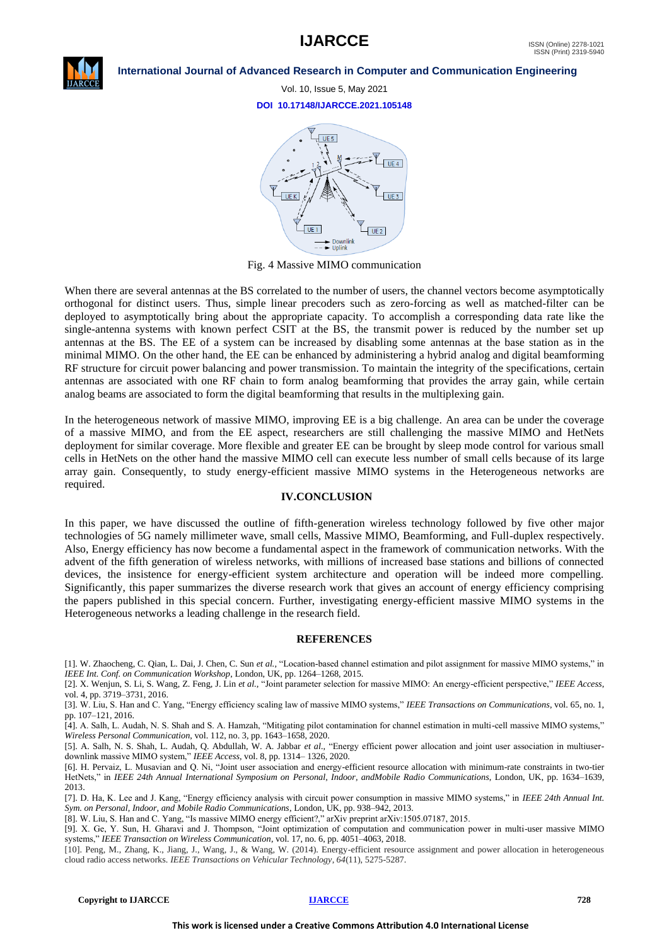

#### **International Journal of Advanced Research in Computer and Communication Engineering**

Vol. 10, Issue 5, May 2021

**DOI 10.17148/IJARCCE.2021.105148**



Fig. 4 Massive MIMO communication

When there are several antennas at the BS correlated to the number of users, the channel vectors become asymptotically orthogonal for distinct users. Thus, simple linear precoders such as zero-forcing as well as matched-filter can be deployed to asymptotically bring about the appropriate capacity. To accomplish a corresponding data rate like the single-antenna systems with known perfect CSIT at the BS, the transmit power is reduced by the number set up antennas at the BS. The EE of a system can be increased by disabling some antennas at the base station as in the minimal MIMO. On the other hand, the EE can be enhanced by administering a hybrid analog and digital beamforming RF structure for circuit power balancing and power transmission. To maintain the integrity of the specifications, certain antennas are associated with one RF chain to form analog beamforming that provides the array gain, while certain analog beams are associated to form the digital beamforming that results in the multiplexing gain.

In the heterogeneous network of massive MIMO, improving EE is a big challenge. An area can be under the coverage of a massive MIMO, and from the EE aspect, researchers are still challenging the massive MIMO and HetNets deployment for similar coverage. More flexible and greater EE can be brought by sleep mode control for various small cells in HetNets on the other hand the massive MIMO cell can execute less number of small cells because of its large array gain. Consequently, to study energy-efficient massive MIMO systems in the Heterogeneous networks are required.

#### **IV.CONCLUSION**

In this paper, we have discussed the outline of fifth-generation wireless technology followed by five other major technologies of 5G namely millimeter wave, small cells, Massive MIMO, Beamforming, and Full-duplex respectively. Also, Energy efficiency has now become a fundamental aspect in the framework of communication networks. With the advent of the fifth generation of wireless networks, with millions of increased base stations and billions of connected devices, the insistence for energy-efficient system architecture and operation will be indeed more compelling. Significantly, this paper summarizes the diverse research work that gives an account of energy efficiency comprising the papers published in this special concern. Further, investigating energy-efficient massive MIMO systems in the Heterogeneous networks a leading challenge in the research field.

#### **REFERENCES**

[1]. W. Zhaocheng, C. Qian, L. Dai, J. Chen, C. Sun *et al.,* "Location-based channel estimation and pilot assignment for massive MIMO systems," in *IEEE Int. Conf. on Communication Workshop*, London, UK, pp. 1264–1268, 2015.

[2]. X. Wenjun, S. Li, S. Wang, Z. Feng, J. Lin *et al.,* "Joint parameter selection for massive MIMO: An energy-efficient perspective," *IEEE Access*, vol. 4, pp. 3719–3731, 2016.

[3]. W. Liu, S. Han and C. Yang, "Energy efficiency scaling law of massive MIMO systems," *IEEE Transactions on Communications*, vol. 65, no. 1, pp. 107–121, 2016.

[4]. A. Salh, L. Audah, N. S. Shah and S. A. Hamzah, "Mitigating pilot contamination for channel estimation in multi-cell massive MIMO systems," *Wireless Personal Communication*, vol. 112, no. 3, pp. 1643–1658, 2020.

[5]. A. Salh, N. S. Shah, L. Audah, Q. Abdullah, W. A. Jabbar *et al.,* "Energy efficient power allocation and joint user association in multiuserdownlink massive MIMO system," *IEEE Access*, vol. 8, pp. 1314– 1326, 2020.

[6]. H. Pervaiz, L. Musavian and Q. Ni, "Joint user association and energy-efficient resource allocation with minimum-rate constraints in two-tier HetNets," in *IEEE 24th Annual International Symposium on Personal, Indoor, andMobile Radio Communications*, London, UK, pp. 1634–1639, 2013.

[7]. D. Ha, K. Lee and J. Kang, "Energy efficiency analysis with circuit power consumption in massive MIMO systems," in *IEEE 24th Annual Int. Sym. on Personal, Indoor, and Mobile Radio Communications*, London, UK, pp. 938–942, 2013.

[8]. W. Liu, S. Han and C. Yang, "Is massive MIMO energy efficient?," arXiv preprint arXiv:1505.07187, 2015.

[9]. X. Ge, Y. Sun, H. Gharavi and J. Thompson, "Joint optimization of computation and communication power in multi-user massive MIMO systems," *IEEE Transaction on Wireless Communication*, vol. 17, no. 6, pp. 4051–4063, 2018.

[10]. Peng, M., Zhang, K., Jiang, J., Wang, J., & Wang, W. (2014). Energy-efficient resource assignment and power allocation in heterogeneous cloud radio access networks. *IEEE Transactions on Vehicular Technology*, *64*(11), 5275-5287.